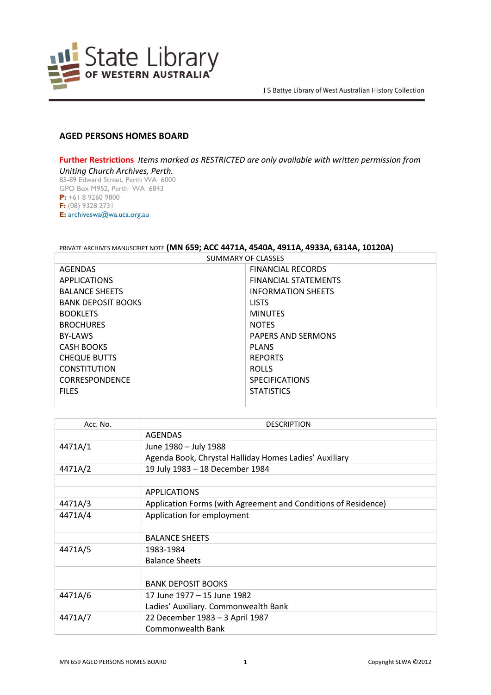

## **AGED PERSONS HOMES BOARD**

**Further Restrictions** *Items marked as RESTRICTED are only available with written permission from Uniting Church Archives, Perth.* 85-89 Edward Street, Perth WA 6000 GPO Box M952, Perth WA 6843 **P:** +61 8 9260 9800 **F:** (08) 9328 2731 **E:** [archiveswa@wa.uca.org.au](https://aus01.safelinks.protection.outlook.com/?url=archiveswa%40wa.uca.org.au&data=02%7C01%7Cannette.delbianco%40slwa.wa.gov.au%7C70dbabaad9b04890ed9108d73fd24472%7Cc1ae0ae2d5044287b6f47eafd6648d22%7C1%7C0%7C637048044661281357&sdata=IQl1wUxi19JTcfNG%2BxPtC26EIYYFnK07t5%2FtmcKjzc0%3D&reserved=0)

## PRIVATE ARCHIVES MANUSCRIPT NOTE **(MN 659; ACC 4471A, 4540A, 4911A, 4933A, 6314A, 10120A)**

SUMMARY OF CLASSES

| AGENDAS                   | <b>FINANCIAL RECORDS</b>    |
|---------------------------|-----------------------------|
| <b>APPLICATIONS</b>       | <b>FINANCIAL STATEMENTS</b> |
| <b>BALANCE SHEETS</b>     | <b>INFORMATION SHEETS</b>   |
| <b>BANK DEPOSIT BOOKS</b> | <b>LISTS</b>                |
| <b>BOOKLETS</b>           | <b>MINUTES</b>              |
| <b>BROCHURES</b>          | <b>NOTES</b>                |
| <b>BY-LAWS</b>            | <b>PAPERS AND SERMONS</b>   |
| <b>CASH BOOKS</b>         | <b>PLANS</b>                |
| <b>CHEQUE BUTTS</b>       | <b>REPORTS</b>              |
| <b>CONSTITUTION</b>       | <b>ROLLS</b>                |
| <b>CORRESPONDENCE</b>     | <b>SPECIFICATIONS</b>       |
| <b>FILES</b>              | <b>STATISTICS</b>           |
|                           |                             |

| Acc. No. | <b>DESCRIPTION</b>                                             |
|----------|----------------------------------------------------------------|
|          | <b>AGENDAS</b>                                                 |
| 4471A/1  | June 1980 - July 1988                                          |
|          | Agenda Book, Chrystal Halliday Homes Ladies' Auxiliary         |
| 4471A/2  | 19 July 1983 - 18 December 1984                                |
|          |                                                                |
|          | <b>APPLICATIONS</b>                                            |
| 4471A/3  | Application Forms (with Agreement and Conditions of Residence) |
| 4471A/4  | Application for employment                                     |
|          |                                                                |
|          | <b>BALANCE SHEETS</b>                                          |
| 4471A/5  | 1983-1984                                                      |
|          | <b>Balance Sheets</b>                                          |
|          |                                                                |
|          | <b>BANK DEPOSIT BOOKS</b>                                      |
| 4471A/6  | 17 June 1977 - 15 June 1982                                    |
|          | Ladies' Auxiliary. Commonwealth Bank                           |
| 4471A/7  | 22 December 1983 - 3 April 1987                                |
|          | Commonwealth Bank                                              |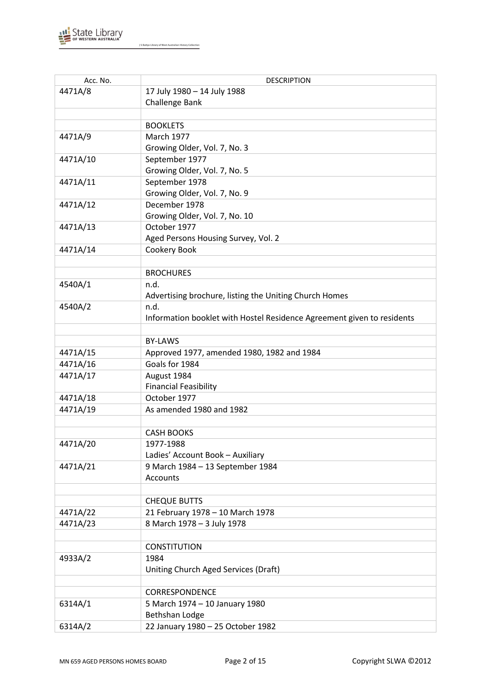

| Acc. No. | <b>DESCRIPTION</b>                                                     |
|----------|------------------------------------------------------------------------|
| 4471A/8  | 17 July 1980 - 14 July 1988                                            |
|          | Challenge Bank                                                         |
|          |                                                                        |
|          | <b>BOOKLETS</b>                                                        |
| 4471A/9  | <b>March 1977</b>                                                      |
|          | Growing Older, Vol. 7, No. 3                                           |
| 4471A/10 | September 1977                                                         |
|          | Growing Older, Vol. 7, No. 5                                           |
| 4471A/11 | September 1978                                                         |
|          | Growing Older, Vol. 7, No. 9                                           |
| 4471A/12 | December 1978                                                          |
|          | Growing Older, Vol. 7, No. 10                                          |
| 4471A/13 | October 1977                                                           |
|          | Aged Persons Housing Survey, Vol. 2                                    |
| 4471A/14 | Cookery Book                                                           |
|          |                                                                        |
|          | <b>BROCHURES</b>                                                       |
| 4540A/1  | n.d.                                                                   |
|          | Advertising brochure, listing the Uniting Church Homes                 |
| 4540A/2  | n.d.                                                                   |
|          | Information booklet with Hostel Residence Agreement given to residents |
|          |                                                                        |
|          | <b>BY-LAWS</b>                                                         |
| 4471A/15 | Approved 1977, amended 1980, 1982 and 1984                             |
| 4471A/16 | Goals for 1984                                                         |
| 4471A/17 | August 1984                                                            |
|          | <b>Financial Feasibility</b>                                           |
| 4471A/18 | October 1977                                                           |
| 4471A/19 | As amended 1980 and 1982                                               |
|          |                                                                        |
|          | <b>CASH BOOKS</b>                                                      |
| 4471A/20 | 1977-1988                                                              |
|          | Ladies' Account Book - Auxiliary                                       |
| 4471A/21 | 9 March 1984 - 13 September 1984                                       |
|          | Accounts                                                               |
|          |                                                                        |
|          | <b>CHEQUE BUTTS</b>                                                    |
| 4471A/22 | 21 February 1978 - 10 March 1978                                       |
| 4471A/23 | 8 March 1978 - 3 July 1978                                             |
|          |                                                                        |
|          | <b>CONSTITUTION</b>                                                    |
| 4933A/2  | 1984                                                                   |
|          | Uniting Church Aged Services (Draft)                                   |
|          |                                                                        |
|          | CORRESPONDENCE                                                         |
| 6314A/1  | 5 March 1974 - 10 January 1980                                         |
|          | <b>Bethshan Lodge</b>                                                  |
| 6314A/2  | 22 January 1980 - 25 October 1982                                      |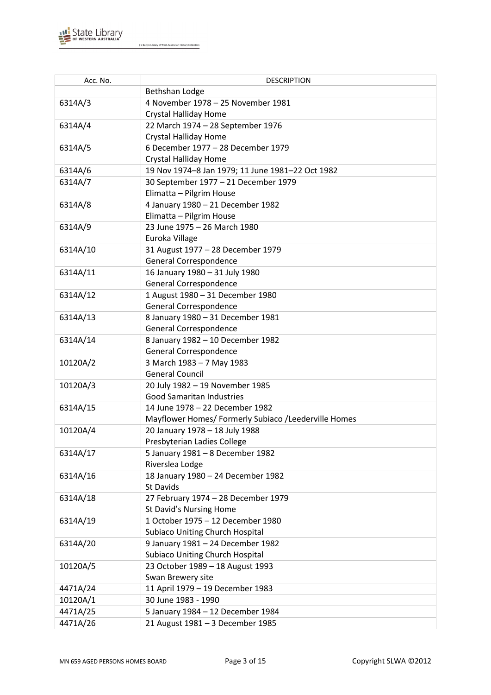

| Acc. No. | <b>DESCRIPTION</b>                                   |
|----------|------------------------------------------------------|
|          | <b>Bethshan Lodge</b>                                |
| 6314A/3  | 4 November 1978 - 25 November 1981                   |
|          | <b>Crystal Halliday Home</b>                         |
| 6314A/4  | 22 March 1974 - 28 September 1976                    |
|          | <b>Crystal Halliday Home</b>                         |
| 6314A/5  | 6 December 1977 - 28 December 1979                   |
|          | Crystal Halliday Home                                |
| 6314A/6  | 19 Nov 1974-8 Jan 1979; 11 June 1981-22 Oct 1982     |
| 6314A/7  | 30 September 1977 - 21 December 1979                 |
|          | Elimatta - Pilgrim House                             |
| 6314A/8  | 4 January 1980 - 21 December 1982                    |
|          | Elimatta - Pilgrim House                             |
| 6314A/9  | 23 June 1975 - 26 March 1980                         |
|          | Euroka Village                                       |
| 6314A/10 | 31 August 1977 - 28 December 1979                    |
|          | General Correspondence                               |
| 6314A/11 | 16 January 1980 - 31 July 1980                       |
|          | <b>General Correspondence</b>                        |
| 6314A/12 | 1 August 1980 - 31 December 1980                     |
|          | General Correspondence                               |
| 6314A/13 | 8 January 1980 - 31 December 1981                    |
|          | General Correspondence                               |
| 6314A/14 | 8 January 1982 - 10 December 1982                    |
|          | General Correspondence                               |
| 10120A/2 | 3 March 1983 - 7 May 1983                            |
|          | <b>General Council</b>                               |
| 10120A/3 | 20 July 1982 - 19 November 1985                      |
|          | <b>Good Samaritan Industries</b>                     |
| 6314A/15 | 14 June 1978 - 22 December 1982                      |
|          | Mayflower Homes/ Formerly Subiaco /Leederville Homes |
| 10120A/4 | 20 January 1978 - 18 July 1988                       |
|          | Presbyterian Ladies College                          |
| 6314A/17 | 5 January 1981 - 8 December 1982                     |
|          | Riverslea Lodge                                      |
| 6314A/16 | 18 January 1980 - 24 December 1982                   |
|          | St Davids                                            |
| 6314A/18 | 27 February 1974 - 28 December 1979                  |
|          | St David's Nursing Home                              |
| 6314A/19 | 1 October 1975 - 12 December 1980                    |
|          | <b>Subiaco Uniting Church Hospital</b>               |
| 6314A/20 | 9 January 1981 - 24 December 1982                    |
|          | <b>Subiaco Uniting Church Hospital</b>               |
| 10120A/5 | 23 October 1989 - 18 August 1993                     |
|          | Swan Brewery site                                    |
| 4471A/24 | 11 April 1979 - 19 December 1983                     |
| 10120A/1 | 30 June 1983 - 1990                                  |
| 4471A/25 | 5 January 1984 - 12 December 1984                    |
| 4471A/26 | 21 August 1981 - 3 December 1985                     |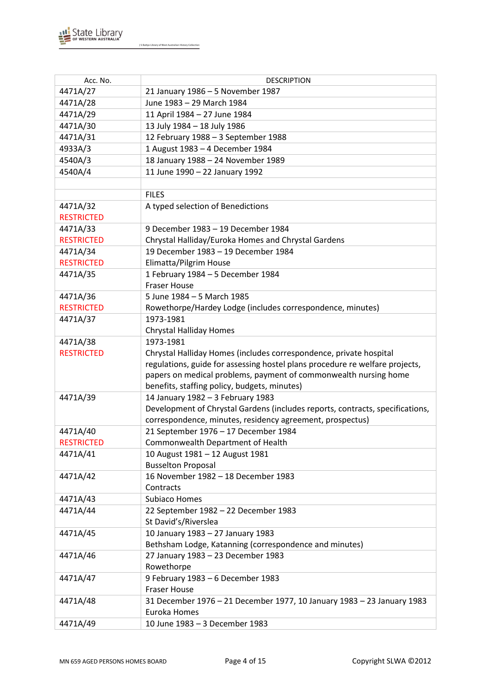

| Acc. No.          | <b>DESCRIPTION</b>                                                            |
|-------------------|-------------------------------------------------------------------------------|
| 4471A/27          | 21 January 1986 - 5 November 1987                                             |
| 4471A/28          | June 1983 - 29 March 1984                                                     |
| 4471A/29          | 11 April 1984 - 27 June 1984                                                  |
| 4471A/30          | 13 July 1984 - 18 July 1986                                                   |
| 4471A/31          | 12 February 1988 - 3 September 1988                                           |
| 4933A/3           | 1 August 1983 - 4 December 1984                                               |
| 4540A/3           | 18 January 1988 - 24 November 1989                                            |
| 4540A/4           | 11 June 1990 - 22 January 1992                                                |
|                   |                                                                               |
|                   | <b>FILES</b>                                                                  |
| 4471A/32          | A typed selection of Benedictions                                             |
| <b>RESTRICTED</b> |                                                                               |
| 4471A/33          | 9 December 1983 - 19 December 1984                                            |
| <b>RESTRICTED</b> | Chrystal Halliday/Euroka Homes and Chrystal Gardens                           |
| 4471A/34          | 19 December 1983 - 19 December 1984                                           |
| <b>RESTRICTED</b> | Elimatta/Pilgrim House                                                        |
| 4471A/35          | 1 February 1984 - 5 December 1984                                             |
|                   | <b>Fraser House</b>                                                           |
| 4471A/36          | 5 June 1984 - 5 March 1985                                                    |
| <b>RESTRICTED</b> | Rowethorpe/Hardey Lodge (includes correspondence, minutes)                    |
| 4471A/37          | 1973-1981                                                                     |
|                   | <b>Chrystal Halliday Homes</b>                                                |
| 4471A/38          | 1973-1981                                                                     |
| <b>RESTRICTED</b> | Chrystal Halliday Homes (includes correspondence, private hospital            |
|                   | regulations, guide for assessing hostel plans procedure re welfare projects,  |
|                   | papers on medical problems, payment of commonwealth nursing home              |
|                   | benefits, staffing policy, budgets, minutes)                                  |
| 4471A/39          | 14 January 1982 - 3 February 1983                                             |
|                   | Development of Chrystal Gardens (includes reports, contracts, specifications, |
|                   | correspondence, minutes, residency agreement, prospectus)                     |
| 4471A/40          | 21 September 1976 - 17 December 1984                                          |
| <b>RESTRICTED</b> | Commonwealth Department of Health                                             |
| 4471A/41          | 10 August 1981 - 12 August 1981                                               |
|                   | <b>Busselton Proposal</b>                                                     |
| 4471A/42          | 16 November 1982 - 18 December 1983                                           |
|                   | Contracts                                                                     |
| 4471A/43          | Subiaco Homes                                                                 |
| 4471A/44          | 22 September 1982 - 22 December 1983                                          |
|                   | St David's/Riverslea                                                          |
| 4471A/45          | 10 January 1983 - 27 January 1983                                             |
|                   | Bethsham Lodge, Katanning (correspondence and minutes)                        |
| 4471A/46          | 27 January 1983 - 23 December 1983                                            |
|                   | Rowethorpe                                                                    |
| 4471A/47          | 9 February 1983 - 6 December 1983                                             |
|                   | <b>Fraser House</b>                                                           |
| 4471A/48          | 31 December 1976 - 21 December 1977, 10 January 1983 - 23 January 1983        |
|                   | Euroka Homes                                                                  |
| 4471A/49          | 10 June 1983 - 3 December 1983                                                |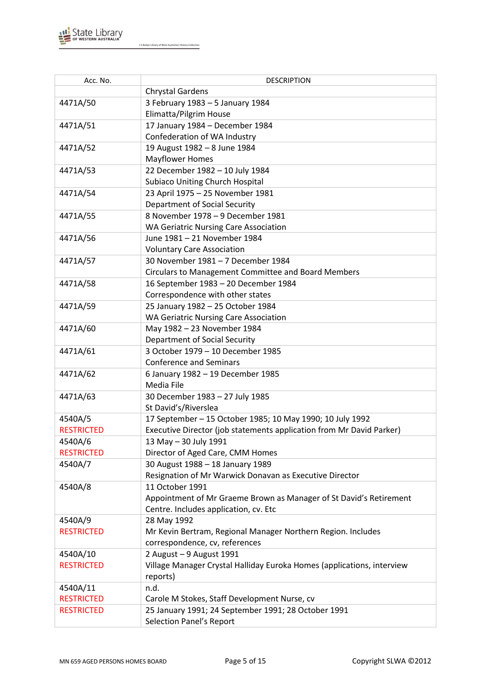

| Acc. No.                     | <b>DESCRIPTION</b>                                                          |
|------------------------------|-----------------------------------------------------------------------------|
|                              | <b>Chrystal Gardens</b>                                                     |
| 4471A/50                     | 3 February 1983 - 5 January 1984                                            |
|                              | Elimatta/Pilgrim House                                                      |
| 4471A/51                     | 17 January 1984 - December 1984                                             |
|                              | Confederation of WA Industry                                                |
| 4471A/52                     | 19 August 1982 - 8 June 1984                                                |
|                              | <b>Mayflower Homes</b>                                                      |
| 4471A/53                     | 22 December 1982 - 10 July 1984                                             |
|                              | <b>Subiaco Uniting Church Hospital</b>                                      |
| 4471A/54                     | 23 April 1975 - 25 November 1981                                            |
|                              | <b>Department of Social Security</b>                                        |
| 4471A/55                     | 8 November 1978 - 9 December 1981                                           |
|                              | <b>WA Geriatric Nursing Care Association</b>                                |
| 4471A/56                     | June 1981 - 21 November 1984                                                |
|                              | <b>Voluntary Care Association</b>                                           |
| 4471A/57                     | 30 November 1981 - 7 December 1984                                          |
|                              | Circulars to Management Committee and Board Members                         |
| 4471A/58                     | 16 September 1983 - 20 December 1984                                        |
|                              | Correspondence with other states                                            |
| 4471A/59                     | 25 January 1982 - 25 October 1984                                           |
|                              | <b>WA Geriatric Nursing Care Association</b>                                |
| 4471A/60                     | May 1982 - 23 November 1984                                                 |
|                              | <b>Department of Social Security</b>                                        |
| 4471A/61                     | 3 October 1979 - 10 December 1985                                           |
|                              | <b>Conference and Seminars</b>                                              |
| 4471A/62                     | 6 January 1982 - 19 December 1985                                           |
|                              | Media File                                                                  |
| 4471A/63                     | 30 December 1983 - 27 July 1985                                             |
|                              | St David's/Riverslea                                                        |
| 4540A/5                      | 17 September - 15 October 1985; 10 May 1990; 10 July 1992                   |
| <b>RESTRICTED</b>            | Executive Director (job statements application from Mr David Parker)        |
| 4540A/6                      | 13 May - 30 July 1991                                                       |
| <b>RESTRICTED</b>            | Director of Aged Care, CMM Homes                                            |
| 4540A/7                      | 30 August 1988 - 18 January 1989                                            |
|                              | Resignation of Mr Warwick Donavan as Executive Director                     |
| 4540A/8                      | 11 October 1991                                                             |
|                              | Appointment of Mr Graeme Brown as Manager of St David's Retirement          |
|                              | Centre. Includes application, cv. Etc                                       |
| 4540A/9<br><b>RESTRICTED</b> | 28 May 1992<br>Mr Kevin Bertram, Regional Manager Northern Region. Includes |
|                              |                                                                             |
| 4540A/10                     | correspondence, cv, references<br>2 August - 9 August 1991                  |
| <b>RESTRICTED</b>            | Village Manager Crystal Halliday Euroka Homes (applications, interview      |
|                              | reports)                                                                    |
| 4540A/11                     | n.d.                                                                        |
| <b>RESTRICTED</b>            | Carole M Stokes, Staff Development Nurse, cv                                |
| <b>RESTRICTED</b>            | 25 January 1991; 24 September 1991; 28 October 1991                         |
|                              | <b>Selection Panel's Report</b>                                             |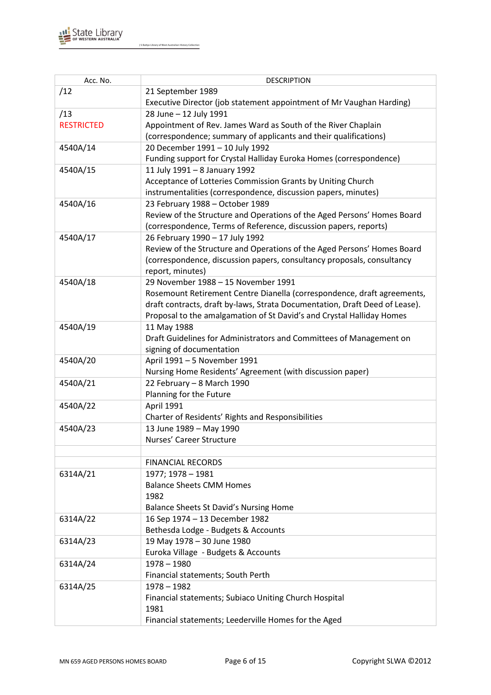

| Acc. No.          | <b>DESCRIPTION</b>                                                          |
|-------------------|-----------------------------------------------------------------------------|
| /12               | 21 September 1989                                                           |
|                   | Executive Director (job statement appointment of Mr Vaughan Harding)        |
| /13               | 28 June - 12 July 1991                                                      |
| <b>RESTRICTED</b> | Appointment of Rev. James Ward as South of the River Chaplain               |
|                   | (correspondence; summary of applicants and their qualifications)            |
| 4540A/14          | 20 December 1991 - 10 July 1992                                             |
|                   | Funding support for Crystal Halliday Euroka Homes (correspondence)          |
| 4540A/15          | 11 July 1991 - 8 January 1992                                               |
|                   | Acceptance of Lotteries Commission Grants by Uniting Church                 |
|                   | instrumentalities (correspondence, discussion papers, minutes)              |
| 4540A/16          | 23 February 1988 - October 1989                                             |
|                   | Review of the Structure and Operations of the Aged Persons' Homes Board     |
|                   | (correspondence, Terms of Reference, discussion papers, reports)            |
| 4540A/17          | 26 February 1990 - 17 July 1992                                             |
|                   | Review of the Structure and Operations of the Aged Persons' Homes Board     |
|                   | (correspondence, discussion papers, consultancy proposals, consultancy      |
|                   | report, minutes)                                                            |
| 4540A/18          | 29 November 1988 - 15 November 1991                                         |
|                   | Rosemount Retirement Centre Dianella (correspondence, draft agreements,     |
|                   | draft contracts, draft by-laws, Strata Documentation, Draft Deed of Lease). |
|                   | Proposal to the amalgamation of St David's and Crystal Halliday Homes       |
| 4540A/19          | 11 May 1988                                                                 |
|                   | Draft Guidelines for Administrators and Committees of Management on         |
| 4540A/20          | signing of documentation<br>April 1991 - 5 November 1991                    |
|                   | Nursing Home Residents' Agreement (with discussion paper)                   |
| 4540A/21          | 22 February - 8 March 1990                                                  |
|                   | Planning for the Future                                                     |
| 4540A/22          | <b>April 1991</b>                                                           |
|                   | Charter of Residents' Rights and Responsibilities                           |
| 4540A/23          | 13 June 1989 - May 1990                                                     |
|                   | Nurses' Career Structure                                                    |
|                   |                                                                             |
|                   | <b>FINANCIAL RECORDS</b>                                                    |
| 6314A/21          | 1977; 1978 - 1981                                                           |
|                   | <b>Balance Sheets CMM Homes</b>                                             |
|                   | 1982                                                                        |
|                   | Balance Sheets St David's Nursing Home                                      |
| 6314A/22          | 16 Sep 1974 - 13 December 1982                                              |
|                   | Bethesda Lodge - Budgets & Accounts                                         |
| 6314A/23          | 19 May 1978 - 30 June 1980                                                  |
|                   | Euroka Village - Budgets & Accounts                                         |
| 6314A/24          | $1978 - 1980$                                                               |
|                   | Financial statements; South Perth                                           |
| 6314A/25          | $1978 - 1982$                                                               |
|                   | Financial statements; Subiaco Uniting Church Hospital                       |
|                   | 1981                                                                        |
|                   | Financial statements; Leederville Homes for the Aged                        |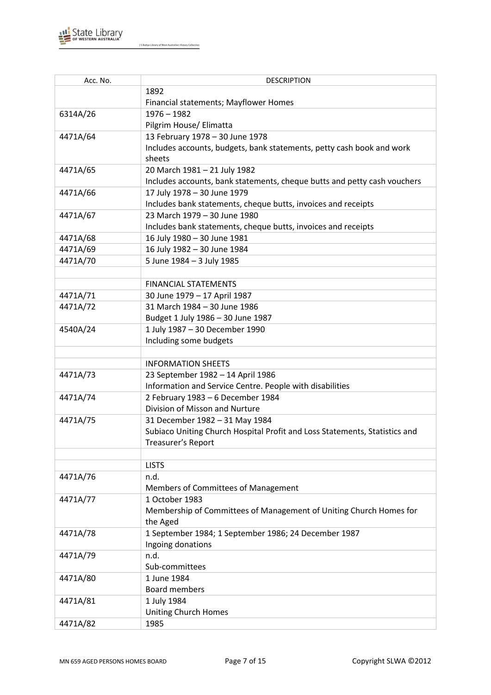

| Acc. No. | <b>DESCRIPTION</b>                                                         |
|----------|----------------------------------------------------------------------------|
|          | 1892                                                                       |
|          | Financial statements; Mayflower Homes                                      |
| 6314A/26 | $1976 - 1982$                                                              |
|          | Pilgrim House/ Elimatta                                                    |
| 4471A/64 | 13 February 1978 - 30 June 1978                                            |
|          | Includes accounts, budgets, bank statements, petty cash book and work      |
|          | sheets                                                                     |
| 4471A/65 | 20 March 1981 - 21 July 1982                                               |
|          | Includes accounts, bank statements, cheque butts and petty cash vouchers   |
| 4471A/66 | 17 July 1978 - 30 June 1979                                                |
|          | Includes bank statements, cheque butts, invoices and receipts              |
| 4471A/67 | 23 March 1979 - 30 June 1980                                               |
|          | Includes bank statements, cheque butts, invoices and receipts              |
| 4471A/68 | 16 July 1980 - 30 June 1981                                                |
| 4471A/69 | 16 July 1982 - 30 June 1984                                                |
| 4471A/70 | 5 June 1984 - 3 July 1985                                                  |
|          |                                                                            |
|          | <b>FINANCIAL STATEMENTS</b>                                                |
| 4471A/71 | 30 June 1979 - 17 April 1987                                               |
| 4471A/72 | 31 March 1984 - 30 June 1986                                               |
|          | Budget 1 July 1986 - 30 June 1987                                          |
| 4540A/24 | 1 July 1987 - 30 December 1990                                             |
|          | Including some budgets                                                     |
|          |                                                                            |
|          | <b>INFORMATION SHEETS</b>                                                  |
| 4471A/73 | 23 September 1982 - 14 April 1986                                          |
|          | Information and Service Centre. People with disabilities                   |
| 4471A/74 | 2 February 1983 - 6 December 1984                                          |
|          | Division of Misson and Nurture                                             |
| 4471A/75 | 31 December 1982 - 31 May 1984                                             |
|          | Subiaco Uniting Church Hospital Profit and Loss Statements, Statistics and |
|          | Treasurer's Report                                                         |
|          |                                                                            |
|          | <b>LISTS</b>                                                               |
| 4471A/76 | n.d.                                                                       |
|          | Members of Committees of Management                                        |
| 4471A/77 | 1 October 1983                                                             |
|          | Membership of Committees of Management of Uniting Church Homes for         |
|          | the Aged                                                                   |
| 4471A/78 | 1 September 1984; 1 September 1986; 24 December 1987                       |
|          | Ingoing donations                                                          |
| 4471A/79 | n.d.                                                                       |
|          | Sub-committees                                                             |
| 4471A/80 | 1 June 1984                                                                |
|          | <b>Board members</b>                                                       |
| 4471A/81 | 1 July 1984                                                                |
|          | <b>Uniting Church Homes</b>                                                |
| 4471A/82 | 1985                                                                       |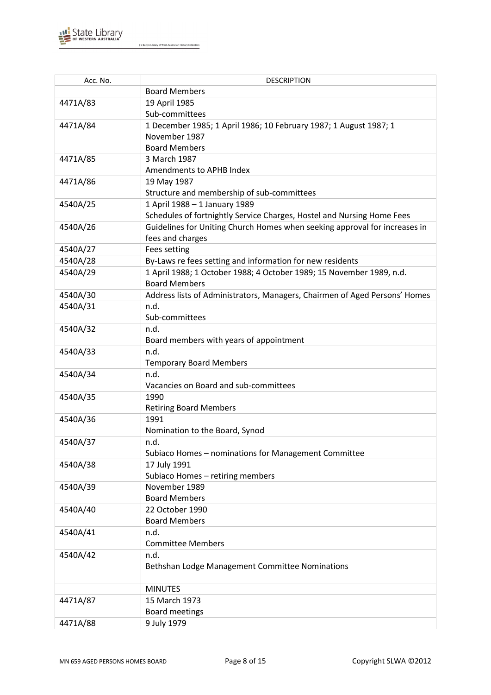

| Acc. No. | <b>DESCRIPTION</b>                                                         |
|----------|----------------------------------------------------------------------------|
|          | <b>Board Members</b>                                                       |
| 4471A/83 | 19 April 1985                                                              |
|          | Sub-committees                                                             |
| 4471A/84 | 1 December 1985; 1 April 1986; 10 February 1987; 1 August 1987; 1          |
|          | November 1987                                                              |
|          | <b>Board Members</b>                                                       |
| 4471A/85 | 3 March 1987                                                               |
|          | Amendments to APHB Index                                                   |
| 4471A/86 | 19 May 1987                                                                |
|          | Structure and membership of sub-committees                                 |
| 4540A/25 | 1 April 1988 - 1 January 1989                                              |
|          | Schedules of fortnightly Service Charges, Hostel and Nursing Home Fees     |
| 4540A/26 | Guidelines for Uniting Church Homes when seeking approval for increases in |
|          | fees and charges                                                           |
| 4540A/27 | Fees setting                                                               |
| 4540A/28 | By-Laws re fees setting and information for new residents                  |
| 4540A/29 | 1 April 1988; 1 October 1988; 4 October 1989; 15 November 1989, n.d.       |
|          | <b>Board Members</b>                                                       |
| 4540A/30 | Address lists of Administrators, Managers, Chairmen of Aged Persons' Homes |
| 4540A/31 | n.d.                                                                       |
|          | Sub-committees                                                             |
| 4540A/32 | n.d.                                                                       |
|          | Board members with years of appointment                                    |
| 4540A/33 | n.d.                                                                       |
|          | <b>Temporary Board Members</b><br>n.d.                                     |
| 4540A/34 | Vacancies on Board and sub-committees                                      |
| 4540A/35 | 1990                                                                       |
|          | <b>Retiring Board Members</b>                                              |
| 4540A/36 | 1991                                                                       |
|          | Nomination to the Board, Synod                                             |
| 4540A/37 | n.d.                                                                       |
|          | Subiaco Homes - nominations for Management Committee                       |
| 4540A/38 | 17 July 1991                                                               |
|          | Subiaco Homes - retiring members                                           |
| 4540A/39 | November 1989                                                              |
|          | <b>Board Members</b>                                                       |
| 4540A/40 | 22 October 1990                                                            |
|          | <b>Board Members</b>                                                       |
| 4540A/41 | n.d.                                                                       |
|          | <b>Committee Members</b>                                                   |
| 4540A/42 | n.d.                                                                       |
|          | Bethshan Lodge Management Committee Nominations                            |
|          |                                                                            |
|          | <b>MINUTES</b>                                                             |
| 4471A/87 | 15 March 1973                                                              |
|          | <b>Board meetings</b>                                                      |
| 4471A/88 | 9 July 1979                                                                |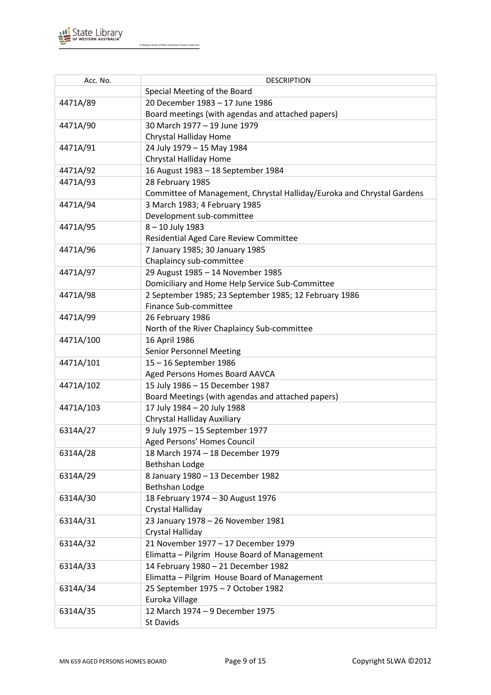

| Acc. No.  | <b>DESCRIPTION</b>                                                     |
|-----------|------------------------------------------------------------------------|
|           | Special Meeting of the Board                                           |
| 4471A/89  | 20 December 1983 - 17 June 1986                                        |
|           | Board meetings (with agendas and attached papers)                      |
| 4471A/90  | 30 March 1977 - 19 June 1979                                           |
|           | Chrystal Halliday Home                                                 |
| 4471A/91  | 24 July 1979 - 15 May 1984                                             |
|           | Chrystal Halliday Home                                                 |
| 4471A/92  | 16 August 1983 - 18 September 1984                                     |
| 4471A/93  | 28 February 1985                                                       |
|           | Committee of Management, Chrystal Halliday/Euroka and Chrystal Gardens |
| 4471A/94  | 3 March 1983; 4 February 1985                                          |
|           | Development sub-committee                                              |
| 4471A/95  | 8-10 July 1983                                                         |
|           | Residential Aged Care Review Committee                                 |
| 4471A/96  | 7 January 1985; 30 January 1985                                        |
|           | Chaplaincy sub-committee                                               |
| 4471A/97  | 29 August 1985 - 14 November 1985                                      |
|           | Domiciliary and Home Help Service Sub-Committee                        |
| 4471A/98  | 2 September 1985; 23 September 1985; 12 February 1986                  |
|           | Finance Sub-committee                                                  |
| 4471A/99  | 26 February 1986                                                       |
|           | North of the River Chaplaincy Sub-committee                            |
| 4471A/100 | 16 April 1986                                                          |
|           | <b>Senior Personnel Meeting</b>                                        |
| 4471A/101 | 15-16 September 1986                                                   |
|           | Aged Persons Homes Board AAVCA                                         |
| 4471A/102 | 15 July 1986 - 15 December 1987                                        |
|           | Board Meetings (with agendas and attached papers)                      |
| 4471A/103 | 17 July 1984 - 20 July 1988                                            |
|           | Chrystal Halliday Auxiliary                                            |
| 6314A/27  | 9 July 1975 - 15 September 1977                                        |
|           | Aged Persons' Homes Council                                            |
| 6314A/28  | 18 March 1974 - 18 December 1979                                       |
|           | <b>Bethshan Lodge</b>                                                  |
| 6314A/29  | 8 January 1980 - 13 December 1982                                      |
|           | <b>Bethshan Lodge</b>                                                  |
| 6314A/30  | 18 February 1974 - 30 August 1976                                      |
|           | Crystal Halliday                                                       |
| 6314A/31  | 23 January 1978 - 26 November 1981                                     |
|           | Crystal Halliday                                                       |
| 6314A/32  | 21 November 1977 - 17 December 1979                                    |
|           | Elimatta - Pilgrim House Board of Management                           |
| 6314A/33  | 14 February 1980 - 21 December 1982                                    |
|           | Elimatta - Pilgrim House Board of Management                           |
| 6314A/34  | 25 September 1975 - 7 October 1982                                     |
|           | Euroka Village                                                         |
| 6314A/35  | 12 March 1974 - 9 December 1975                                        |
|           | St Davids                                                              |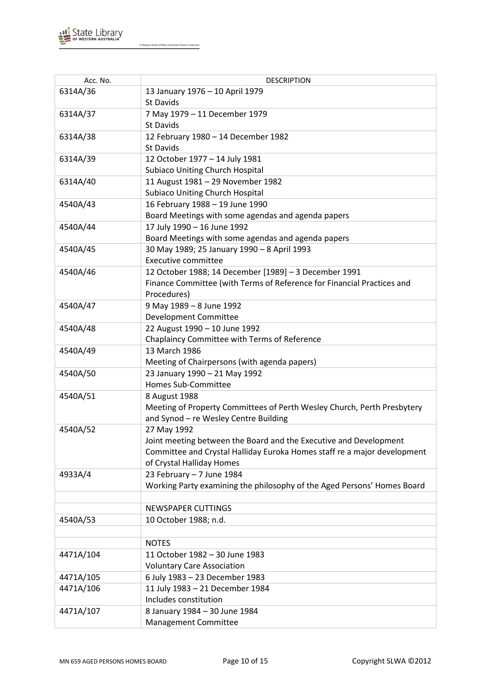

| Acc. No.  | <b>DESCRIPTION</b>                                                       |
|-----------|--------------------------------------------------------------------------|
| 6314A/36  | 13 January 1976 - 10 April 1979                                          |
|           | <b>St Davids</b>                                                         |
| 6314A/37  | 7 May 1979 - 11 December 1979                                            |
|           | <b>St Davids</b>                                                         |
| 6314A/38  | 12 February 1980 - 14 December 1982                                      |
|           | St Davids                                                                |
| 6314A/39  | 12 October 1977 - 14 July 1981                                           |
|           | <b>Subiaco Uniting Church Hospital</b>                                   |
| 6314A/40  | 11 August 1981 - 29 November 1982                                        |
|           | <b>Subiaco Uniting Church Hospital</b>                                   |
| 4540A/43  | 16 February 1988 - 19 June 1990                                          |
|           | Board Meetings with some agendas and agenda papers                       |
| 4540A/44  | 17 July 1990 - 16 June 1992                                              |
|           | Board Meetings with some agendas and agenda papers                       |
| 4540A/45  | 30 May 1989; 25 January 1990 - 8 April 1993                              |
|           | <b>Executive committee</b>                                               |
| 4540A/46  | 12 October 1988; 14 December [1989] - 3 December 1991                    |
|           | Finance Committee (with Terms of Reference for Financial Practices and   |
|           | Procedures)                                                              |
| 4540A/47  | 9 May 1989 - 8 June 1992                                                 |
|           | Development Committee                                                    |
| 4540A/48  | 22 August 1990 - 10 June 1992                                            |
|           | Chaplaincy Committee with Terms of Reference                             |
| 4540A/49  | 13 March 1986                                                            |
|           | Meeting of Chairpersons (with agenda papers)                             |
| 4540A/50  | 23 January 1990 - 21 May 1992                                            |
|           | Homes Sub-Committee                                                      |
| 4540A/51  | 8 August 1988                                                            |
|           | Meeting of Property Committees of Perth Wesley Church, Perth Presbytery  |
|           | and Synod - re Wesley Centre Building                                    |
| 4540A/52  | 27 May 1992                                                              |
|           | Joint meeting between the Board and the Executive and Development        |
|           | Committee and Crystal Halliday Euroka Homes staff re a major development |
|           | of Crystal Halliday Homes                                                |
| 4933A/4   | 23 February - 7 June 1984                                                |
|           | Working Party examining the philosophy of the Aged Persons' Homes Board  |
|           |                                                                          |
|           | <b>NEWSPAPER CUTTINGS</b>                                                |
| 4540A/53  | 10 October 1988; n.d.                                                    |
|           |                                                                          |
|           | <b>NOTES</b>                                                             |
| 4471A/104 | 11 October 1982 - 30 June 1983                                           |
|           | <b>Voluntary Care Association</b>                                        |
| 4471A/105 | 6 July 1983 - 23 December 1983                                           |
| 4471A/106 | 11 July 1983 - 21 December 1984                                          |
|           | Includes constitution                                                    |
| 4471A/107 | 8 January 1984 - 30 June 1984                                            |
|           | Management Committee                                                     |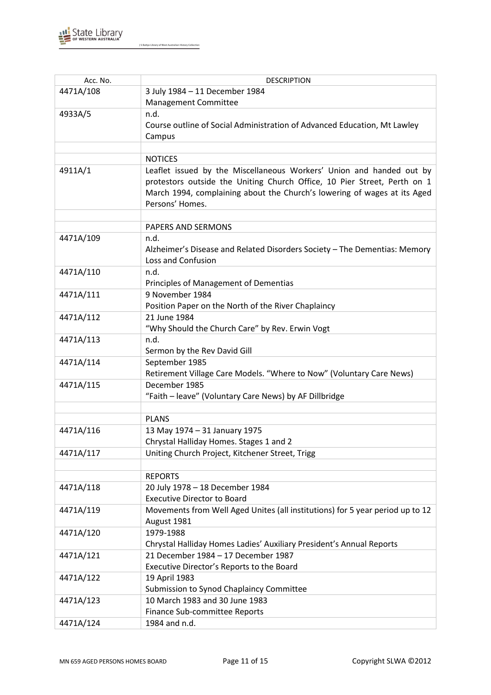

| Acc. No.  | <b>DESCRIPTION</b>                                                            |
|-----------|-------------------------------------------------------------------------------|
| 4471A/108 | 3 July 1984 - 11 December 1984                                                |
|           | Management Committee                                                          |
| 4933A/5   | n.d.                                                                          |
|           | Course outline of Social Administration of Advanced Education, Mt Lawley      |
|           | Campus                                                                        |
|           |                                                                               |
|           | <b>NOTICES</b>                                                                |
| 4911A/1   | Leaflet issued by the Miscellaneous Workers' Union and handed out by          |
|           | protestors outside the Uniting Church Office, 10 Pier Street, Perth on 1      |
|           | March 1994, complaining about the Church's lowering of wages at its Aged      |
|           | Persons' Homes.                                                               |
|           |                                                                               |
|           | PAPERS AND SERMONS                                                            |
| 4471A/109 | n.d.                                                                          |
|           | Alzheimer's Disease and Related Disorders Society - The Dementias: Memory     |
|           | Loss and Confusion                                                            |
| 4471A/110 | n.d.                                                                          |
|           | Principles of Management of Dementias                                         |
| 4471A/111 | 9 November 1984                                                               |
|           | Position Paper on the North of the River Chaplaincy                           |
| 4471A/112 | 21 June 1984                                                                  |
|           | "Why Should the Church Care" by Rev. Erwin Vogt                               |
| 4471A/113 | n.d.                                                                          |
|           | Sermon by the Rev David Gill                                                  |
| 4471A/114 | September 1985                                                                |
|           | Retirement Village Care Models. "Where to Now" (Voluntary Care News)          |
| 4471A/115 | December 1985                                                                 |
|           | "Faith - leave" (Voluntary Care News) by AF Dillbridge                        |
|           |                                                                               |
|           | <b>PLANS</b>                                                                  |
| 4471A/116 | 13 May 1974 - 31 January 1975                                                 |
|           | Chrystal Halliday Homes. Stages 1 and 2                                       |
| 4471A/117 | Uniting Church Project, Kitchener Street, Trigg                               |
|           |                                                                               |
|           | <b>REPORTS</b>                                                                |
| 4471A/118 | 20 July 1978 - 18 December 1984                                               |
|           | <b>Executive Director to Board</b>                                            |
| 4471A/119 | Movements from Well Aged Unites (all institutions) for 5 year period up to 12 |
|           | August 1981                                                                   |
| 4471A/120 | 1979-1988                                                                     |
|           | Chrystal Halliday Homes Ladies' Auxiliary President's Annual Reports          |
| 4471A/121 | 21 December 1984 - 17 December 1987                                           |
|           | Executive Director's Reports to the Board                                     |
| 4471A/122 | 19 April 1983                                                                 |
|           | Submission to Synod Chaplaincy Committee                                      |
| 4471A/123 | 10 March 1983 and 30 June 1983                                                |
|           | Finance Sub-committee Reports                                                 |
| 4471A/124 | 1984 and n.d.                                                                 |
|           |                                                                               |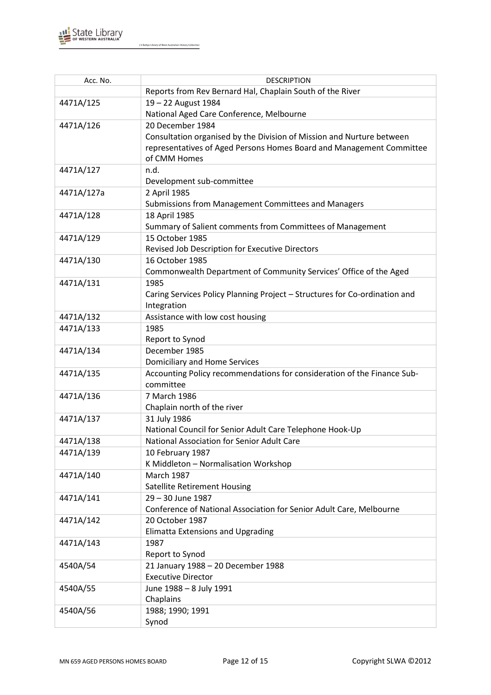

| Acc. No.   | <b>DESCRIPTION</b>                                                                     |
|------------|----------------------------------------------------------------------------------------|
|            | Reports from Rev Bernard Hal, Chaplain South of the River                              |
| 4471A/125  | 19 - 22 August 1984                                                                    |
|            | National Aged Care Conference, Melbourne                                               |
| 4471A/126  | 20 December 1984                                                                       |
|            | Consultation organised by the Division of Mission and Nurture between                  |
|            | representatives of Aged Persons Homes Board and Management Committee                   |
|            | of CMM Homes                                                                           |
| 4471A/127  | n.d.                                                                                   |
|            | Development sub-committee                                                              |
| 4471A/127a | 2 April 1985                                                                           |
|            | Submissions from Management Committees and Managers                                    |
| 4471A/128  | 18 April 1985                                                                          |
|            | Summary of Salient comments from Committees of Management                              |
| 4471A/129  | 15 October 1985                                                                        |
|            | Revised Job Description for Executive Directors                                        |
| 4471A/130  | 16 October 1985                                                                        |
|            | Commonwealth Department of Community Services' Office of the Aged                      |
| 4471A/131  | 1985                                                                                   |
|            | Caring Services Policy Planning Project - Structures for Co-ordination and             |
|            | Integration                                                                            |
| 4471A/132  | Assistance with low cost housing                                                       |
| 4471A/133  | 1985                                                                                   |
|            | Report to Synod                                                                        |
| 4471A/134  | December 1985                                                                          |
|            | Domiciliary and Home Services                                                          |
| 4471A/135  | Accounting Policy recommendations for consideration of the Finance Sub-                |
|            | committee                                                                              |
| 4471A/136  | 7 March 1986                                                                           |
|            | Chaplain north of the river                                                            |
| 4471A/137  | 31 July 1986                                                                           |
|            | National Council for Senior Adult Care Telephone Hook-Up                               |
| 4471A/138  | National Association for Senior Adult Care                                             |
| 4471A/139  | 10 February 1987                                                                       |
|            | K Middleton - Normalisation Workshop                                                   |
| 4471A/140  | <b>March 1987</b>                                                                      |
|            | <b>Satellite Retirement Housing</b>                                                    |
| 4471A/141  | 29 - 30 June 1987                                                                      |
|            | Conference of National Association for Senior Adult Care, Melbourne<br>20 October 1987 |
| 4471A/142  | <b>Elimatta Extensions and Upgrading</b>                                               |
| 4471A/143  | 1987                                                                                   |
|            | Report to Synod                                                                        |
| 4540A/54   | 21 January 1988 - 20 December 1988                                                     |
|            | <b>Executive Director</b>                                                              |
| 4540A/55   | June 1988 - 8 July 1991                                                                |
|            | Chaplains                                                                              |
| 4540A/56   | 1988; 1990; 1991                                                                       |
|            | Synod                                                                                  |
|            |                                                                                        |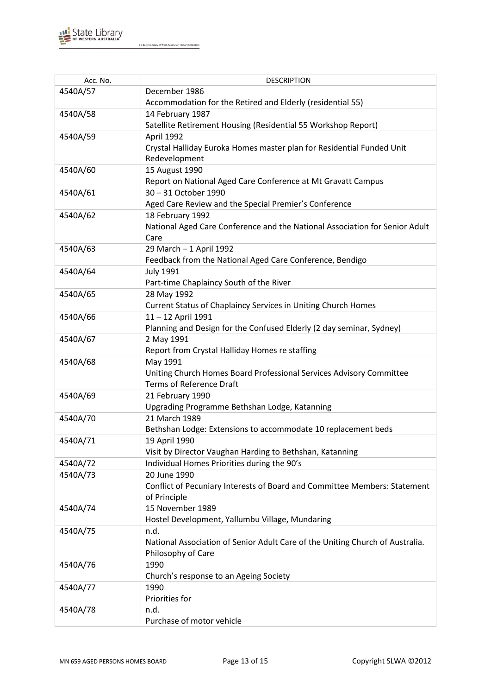

| Acc. No. | <b>DESCRIPTION</b>                                                            |
|----------|-------------------------------------------------------------------------------|
| 4540A/57 | December 1986                                                                 |
|          | Accommodation for the Retired and Elderly (residential 55)                    |
| 4540A/58 | 14 February 1987                                                              |
|          | Satellite Retirement Housing (Residential 55 Workshop Report)                 |
| 4540A/59 | April 1992                                                                    |
|          | Crystal Halliday Euroka Homes master plan for Residential Funded Unit         |
|          | Redevelopment                                                                 |
| 4540A/60 | 15 August 1990                                                                |
|          | Report on National Aged Care Conference at Mt Gravatt Campus                  |
| 4540A/61 | 30 - 31 October 1990                                                          |
|          | Aged Care Review and the Special Premier's Conference                         |
| 4540A/62 | 18 February 1992                                                              |
|          | National Aged Care Conference and the National Association for Senior Adult   |
|          | Care                                                                          |
| 4540A/63 | 29 March - 1 April 1992                                                       |
|          | Feedback from the National Aged Care Conference, Bendigo                      |
| 4540A/64 | <b>July 1991</b>                                                              |
|          | Part-time Chaplaincy South of the River                                       |
| 4540A/65 | 28 May 1992                                                                   |
|          | Current Status of Chaplaincy Services in Uniting Church Homes                 |
| 4540A/66 | 11-12 April 1991                                                              |
|          | Planning and Design for the Confused Elderly (2 day seminar, Sydney)          |
| 4540A/67 | 2 May 1991                                                                    |
|          | Report from Crystal Halliday Homes re staffing                                |
| 4540A/68 | May 1991                                                                      |
|          | Uniting Church Homes Board Professional Services Advisory Committee           |
|          | <b>Terms of Reference Draft</b>                                               |
| 4540A/69 | 21 February 1990                                                              |
|          | Upgrading Programme Bethshan Lodge, Katanning                                 |
| 4540A/70 | 21 March 1989                                                                 |
|          | Bethshan Lodge: Extensions to accommodate 10 replacement beds                 |
| 4540A/71 | 19 April 1990                                                                 |
|          | Visit by Director Vaughan Harding to Bethshan, Katanning                      |
| 4540A/72 | Individual Homes Priorities during the 90's                                   |
| 4540A/73 | 20 June 1990                                                                  |
|          | Conflict of Pecuniary Interests of Board and Committee Members: Statement     |
|          | of Principle                                                                  |
| 4540A/74 | 15 November 1989                                                              |
|          | Hostel Development, Yallumbu Village, Mundaring                               |
| 4540A/75 | n.d.                                                                          |
|          | National Association of Senior Adult Care of the Uniting Church of Australia. |
|          | Philosophy of Care                                                            |
| 4540A/76 | 1990                                                                          |
|          | Church's response to an Ageing Society                                        |
| 4540A/77 | 1990                                                                          |
|          | Priorities for                                                                |
| 4540A/78 | n.d.                                                                          |
|          | Purchase of motor vehicle                                                     |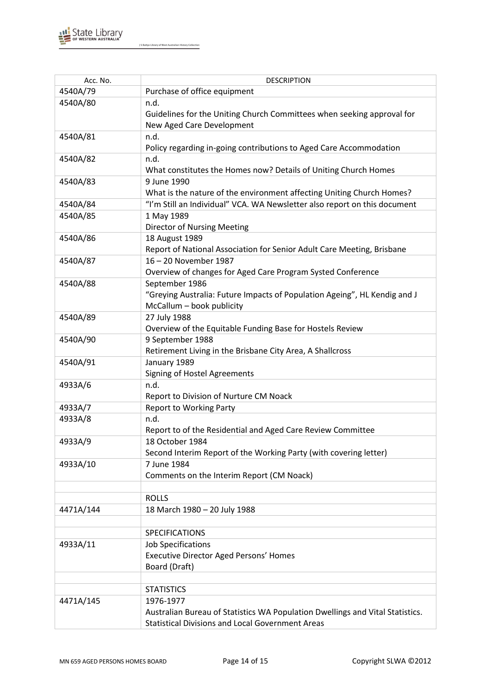

| Acc. No.  | <b>DESCRIPTION</b>                                                                                                                                    |
|-----------|-------------------------------------------------------------------------------------------------------------------------------------------------------|
| 4540A/79  | Purchase of office equipment                                                                                                                          |
| 4540A/80  | n.d.                                                                                                                                                  |
|           | Guidelines for the Uniting Church Committees when seeking approval for                                                                                |
|           | New Aged Care Development                                                                                                                             |
| 4540A/81  | n.d.                                                                                                                                                  |
|           | Policy regarding in-going contributions to Aged Care Accommodation                                                                                    |
| 4540A/82  | n.d.                                                                                                                                                  |
|           | What constitutes the Homes now? Details of Uniting Church Homes                                                                                       |
| 4540A/83  | 9 June 1990                                                                                                                                           |
|           | What is the nature of the environment affecting Uniting Church Homes?                                                                                 |
| 4540A/84  | "I'm Still an Individual" VCA. WA Newsletter also report on this document                                                                             |
| 4540A/85  | 1 May 1989                                                                                                                                            |
|           | <b>Director of Nursing Meeting</b>                                                                                                                    |
| 4540A/86  | 18 August 1989                                                                                                                                        |
|           | Report of National Association for Senior Adult Care Meeting, Brisbane                                                                                |
| 4540A/87  | 16-20 November 1987                                                                                                                                   |
|           | Overview of changes for Aged Care Program Systed Conference                                                                                           |
| 4540A/88  | September 1986                                                                                                                                        |
|           | "Greying Australia: Future Impacts of Population Ageing", HL Kendig and J                                                                             |
|           | McCallum - book publicity                                                                                                                             |
| 4540A/89  | 27 July 1988                                                                                                                                          |
|           | Overview of the Equitable Funding Base for Hostels Review                                                                                             |
| 4540A/90  | 9 September 1988                                                                                                                                      |
|           | Retirement Living in the Brisbane City Area, A Shallcross                                                                                             |
| 4540A/91  | January 1989                                                                                                                                          |
|           | Signing of Hostel Agreements                                                                                                                          |
| 4933A/6   | n.d.                                                                                                                                                  |
|           | Report to Division of Nurture CM Noack                                                                                                                |
| 4933A/7   | <b>Report to Working Party</b>                                                                                                                        |
| 4933A/8   | n.d.                                                                                                                                                  |
|           | Report to of the Residential and Aged Care Review Committee                                                                                           |
| 4933A/9   | 18 October 1984                                                                                                                                       |
|           | Second Interim Report of the Working Party (with covering letter)                                                                                     |
| 4933A/10  | 7 June 1984                                                                                                                                           |
|           | Comments on the Interim Report (CM Noack)                                                                                                             |
|           |                                                                                                                                                       |
|           | <b>ROLLS</b>                                                                                                                                          |
| 4471A/144 | 18 March 1980 - 20 July 1988                                                                                                                          |
|           |                                                                                                                                                       |
|           | <b>SPECIFICATIONS</b>                                                                                                                                 |
| 4933A/11  | <b>Job Specifications</b>                                                                                                                             |
|           | Executive Director Aged Persons' Homes                                                                                                                |
|           | Board (Draft)                                                                                                                                         |
|           |                                                                                                                                                       |
|           | <b>STATISTICS</b>                                                                                                                                     |
|           |                                                                                                                                                       |
|           |                                                                                                                                                       |
|           |                                                                                                                                                       |
| 4471A/145 | 1976-1977<br>Australian Bureau of Statistics WA Population Dwellings and Vital Statistics.<br><b>Statistical Divisions and Local Government Areas</b> |